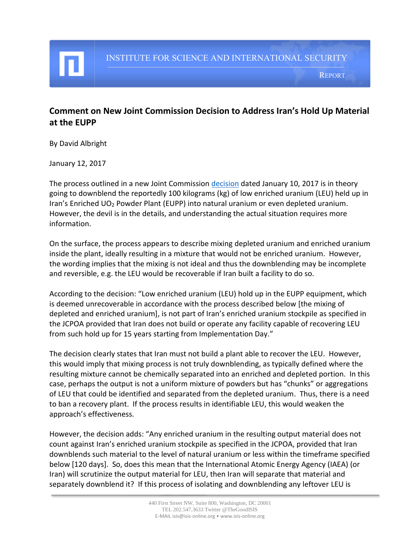REPORT

## **Comment on New Joint Commission Decision to Address Iran's Hold Up Material at the EUPP**

By David Albright

January 12, 2017

The process outlined in a new Joint Commission [decision](https://eeas.europa.eu/sites/eeas/files/jc_paper_of_10_01_2017_-_eupp.pdf) dated January 10, 2017 is in theory going to downblend the reportedly 100 kilograms (kg) of low enriched uranium (LEU) held up in Iran's Enriched UO<sup>2</sup> Powder Plant (EUPP) into natural uranium or even depleted uranium. However, the devil is in the details, and understanding the actual situation requires more information.

On the surface, the process appears to describe mixing depleted uranium and enriched uranium inside the plant, ideally resulting in a mixture that would not be enriched uranium. However, the wording implies that the mixing is not ideal and thus the downblending may be incomplete and reversible, e.g. the LEU would be recoverable if Iran built a facility to do so.

According to the decision: "Low enriched uranium (LEU) hold up in the EUPP equipment, which is deemed unrecoverable in accordance with the process described below [the mixing of depleted and enriched uranium], is not part of Iran's enriched uranium stockpile as specified in the JCPOA provided that Iran does not build or operate any facility capable of recovering LEU from such hold up for 15 years starting from Implementation Day."

The decision clearly states that Iran must not build a plant able to recover the LEU. However, this would imply that mixing process is not truly downblending, as typically defined where the resulting mixture cannot be chemically separated into an enriched and depleted portion. In this case, perhaps the output is not a uniform mixture of powders but has "chunks" or aggregations of LEU that could be identified and separated from the depleted uranium. Thus, there is a need to ban a recovery plant. If the process results in identifiable LEU, this would weaken the approach's effectiveness.

However, the decision adds: "Any enriched uranium in the resulting output material does not count against Iran's enriched uranium stockpile as specified in the JCPOA, provided that Iran downblends such material to the level of natural uranium or less within the timeframe specified below [120 days]. So, does this mean that the International Atomic Energy Agency (IAEA) (or Iran) will scrutinize the output material for LEU, then Iran will separate that material and separately downblend it? If this process of isolating and downblending any leftover LEU is